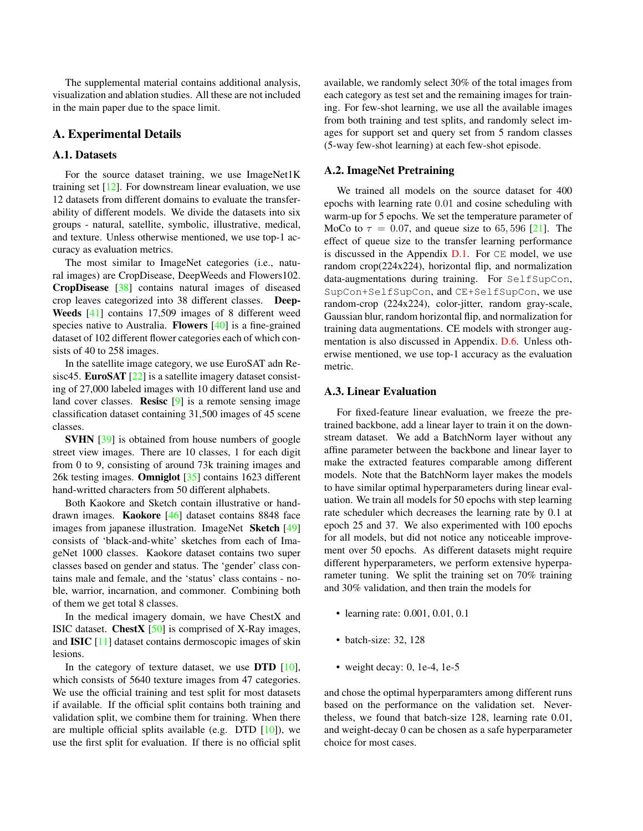<span id="page-0-16"></span>The supplemental material contains additional analysis, visualization and ablation studies. All these are not included in the main paper due to the space limit.

# A. Experimental Details

# A.1. Datasets

For the source dataset training, we use ImageNet1K training set  $[12]$ . For downstream linear evaluation, we use 12 datasets from different domains to evaluate the transferability of different models. We divide the datasets into six groups - natural, satellite, symbolic, illustrative, medical, and texture. Unless otherwise mentioned, we use top-1 accuracy as evaluation metrics.

<span id="page-0-19"></span>The most similar to ImageNet categories (i.e., natural images) are CropDisease, DeepWeeds and Flowers102. CropDisease [\[38\]](#page-0-1) contains natural images of diseased crop leaves categorized into 38 different classes. Deep-Weeds [\[41\]](#page-0-2) contains 17,509 images of 8 different weed species native to Australia. **Flowers** [\[40\]](#page-0-3) is a fine-grained dataset of 102 different flower categories each of which consists of 40 to 258 images.

<span id="page-0-23"></span>In the satellite image category, we use EuroSAT adn Resisc45. **EuroSAT** [\[22\]](#page-0-4) is a satellite imagery dataset consisting of 27,000 labeled images with 10 different land use and land cover classes. Resisc [\[9\]](#page-0-5) is a remote sensing image classification dataset containing 31,500 images of 45 scene classes.

<span id="page-0-7"></span><span id="page-0-5"></span>SVHN [\[39\]](#page-0-6) is obtained from house numbers of google street view images. There are 10 classes, 1 for each digit from 0 to 9, consisting of around 73k training images and 26k testing images. Omniglot [\[35\]](#page-0-7) contains 1623 different hand-writted characters from 50 different alphabets.

<span id="page-0-12"></span><span id="page-0-11"></span>Both Kaokore and Sketch contain illustrative or handdrawn images. Kaokore [\[46\]](#page-0-8) dataset contains 8848 face images from japanese illustration. ImageNet Sketch [\[49\]](#page-0-9) consists of 'black-and-white' sketches from each of ImageNet 1000 classes. Kaokore dataset contains two super classes based on gender and status. The 'gender' class contains male and female, and the 'status' class contains - noble, warrior, incarnation, and commoner. Combining both of them we get total 8 classes.

<span id="page-0-21"></span><span id="page-0-1"></span><span id="page-0-0"></span>In the medical imagery domain, we have ChestX and ISIC dataset. ChestX [\[50\]](#page-0-10) is comprised of X-Ray images, and ISIC [\[11\]](#page-0-11) dataset contains dermoscopic images of skin lesions.

<span id="page-0-6"></span><span id="page-0-3"></span>In the category of texture dataset, we use  $\text{DTD}$  [\[10\]](#page-0-12), which consists of 5640 texture images from 47 categories. We use the official training and test split for most datasets if available. If the official split contains both training and validation split, we combine them for training. When there are multiple official splits available (e.g. DTD  $[10]$ ), we use the first split for evaluation. If there is no official split <span id="page-0-17"></span><span id="page-0-2"></span>available, we randomly select 30% of the total images from each category as test set and the remaining images for training. For few-shot learning, we use all the available images from both training and test splits, and randomly select images for support set and query set from 5 random classes (5-way few-shot learning) at each few-shot episode.

### <span id="page-0-24"></span><span id="page-0-22"></span>A.2. ImageNet Pretraining

<span id="page-0-20"></span><span id="page-0-18"></span>We trained all models on the source dataset for 400 epochs with learning rate 0*.*01 and cosine scheduling with warm-up for 5 epochs. We set the temperature parameter of MoCo to  $\tau = 0.07$ , and queue size to 65, 596 [\[21\]](#page-0-13). The effect of queue size to the transfer learning performance is discussed in the Appendix  $D.1$ . For  $CE$  model, we use random crop(224x224), horizontal flip, and normalization data-augmentations during training. For SelfSupCon, SupCon+SelfSupCon, and CE+SelfSupCon, we use random-crop (224x224), color-jitter, random gray-scale, Gaussian blur, random horizontal flip, and normalization for training data augmentations. CE models with stronger augmentation is also discussed in Appendix. [D.6.](#page-4-0) Unless otherwise mentioned, we use top-1 accuracy as the evaluation metric.

## <span id="page-0-14"></span>A.3. Linear Evaluation

<span id="page-0-15"></span><span id="page-0-13"></span><span id="page-0-8"></span><span id="page-0-4"></span>For fixed-feature linear evaluation, we freeze the pretrained backbone, add a linear layer to train it on the downstream dataset. We add a BatchNorm layer without any affine parameter between the backbone and linear layer to make the extracted features comparable among different models. Note that the BatchNorm layer makes the models to have similar optimal hyperparameters during linear evaluation. We train all models for 50 epochs with step learning rate scheduler which decreases the learning rate by 0.1 at epoch 25 and 37. We also experimented with 100 epochs for all models, but did not notice any noticeable improvement over 50 epochs. As different datasets might require different hyperparameters, we perform extensive hyperparameter tuning. We split the training set on 70% training and 30% validation, and then train the models for

- <span id="page-0-10"></span><span id="page-0-9"></span>• learning rate: 0.001, 0.01, 0.1
- batch-size: 32, 128
- weight decay: 0, 1e-4, 1e-5

and chose the optimal hyperparamters among different runs based on the performance on the validation set. Nevertheless, we found that batch-size 128, learning rate 0.01, and weight-decay 0 can be chosen as a safe hyperparameter choice for most cases.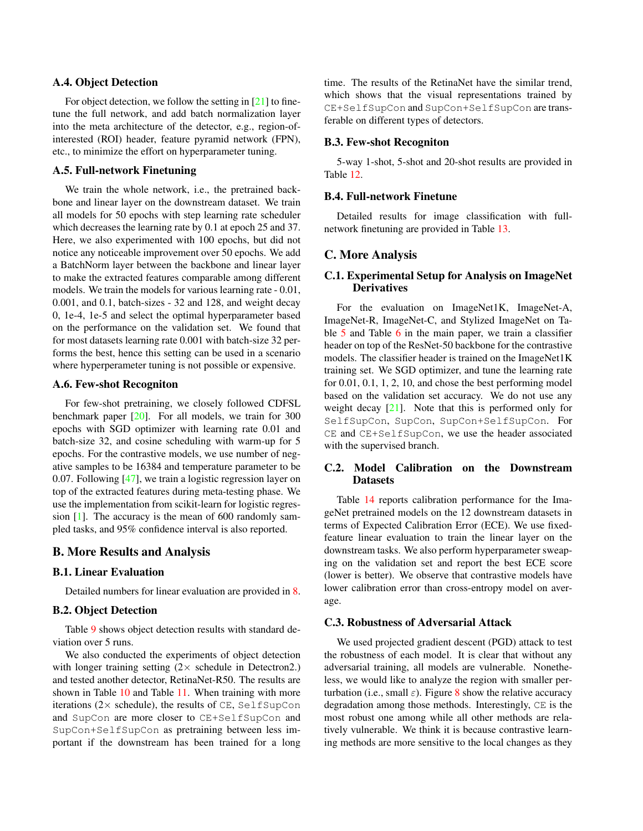#### A.4. Object Detection

For object detection, we follow the setting in [\[21\]](#page-0-13) to finetune the full network, and add batch normalization layer into the meta architecture of the detector, e.g., region-ofinterested (ROI) header, feature pyramid network (FPN), etc., to minimize the effort on hyperparameter tuning.

#### A.5. Full-network Finetuning

We train the whole network, i.e., the pretrained backbone and linear layer on the downstream dataset. We train all models for 50 epochs with step learning rate scheduler which decreases the learning rate by 0.1 at epoch 25 and 37. Here, we also experimented with 100 epochs, but did not notice any noticeable improvement over 50 epochs. We add a BatchNorm layer between the backbone and linear layer to make the extracted features comparable among different models. We train the models for various learning rate - 0.01, 0.001, and 0.1, batch-sizes - 32 and 128, and weight decay 0, 1e-4, 1e-5 and select the optimal hyperparameter based on the performance on the validation set. We found that for most datasets learning rate 0.001 with batch-size 32 performs the best, hence this setting can be used in a scenario where hyperperameter tuning is not possible or expensive.

### A.6. Few-shot Recogniton

For few-shot pretraining, we closely followed CDFSL benchmark paper  $[20]$ . For all models, we train for 300 epochs with SGD optimizer with learning rate 0.01 and batch-size 32, and cosine scheduling with warm-up for 5 epochs. For the contrastive models, we use number of negative samples to be 16384 and temperature parameter to be 0.07. Following [\[47\]](#page-0-15), we train a logistic regression layer on top of the extracted features during meta-testing phase. We use the implementation from scikit-learn for logistic regression [\[1\]](#page-0-16). The accuracy is the mean of 600 randomly sampled tasks, and 95% confidence interval is also reported.

### B. More Results and Analysis

### B.1. Linear Evaluation

Detailed numbers for linear evaluation are provided in [8.](#page-2-1)

## B.2. Object Detection

Table [9](#page-2-2) shows object detection results with standard deviation over 5 runs.

We also conducted the experiments of object detection with longer training setting  $(2 \times$  schedule in Detectron2.) and tested another detector, RetinaNet-R50. The results are shown in Table [10](#page-2-3) and Table [11.](#page-2-4) When training with more iterations ( $2 \times$  schedule), the results of CE, SelfSupCon and SupCon are more closer to CE+SelfSupCon and SupCon+SelfSupCon as pretraining between less important if the downstream has been trained for a long

time. The results of the RetinaNet have the similar trend, which shows that the visual representations trained by CE+SelfSupCon and SupCon+SelfSupCon are transferable on different types of detectors.

#### B.3. Few-shot Recogniton

5-way 1-shot, 5-shot and 20-shot results are provided in Table [12.](#page-3-0)

## B.4. Full-network Finetune

Detailed results for image classification with fullnetwork finetuning are provided in Table [13.](#page-3-1)

## C. More Analysis

# C.1. Experimental Setup for Analysis on ImageNet **Derivatives**

For the evaluation on ImageNet1K, ImageNet-A, ImageNet-R, ImageNet-C, and Stylized ImageNet on Table [5](#page-0-17) and Table [6](#page-0-18) in the main paper, we train a classifier header on top of the ResNet-50 backbone for the contrastive models. The classifier header is trained on the ImageNet1K training set. We SGD optimizer, and tune the learning rate for 0.01, 0.1, 1, 2, 10, and chose the best performing model based on the validation set accuracy. We do not use any weight decay  $[21]$ . Note that this is performed only for SelfSupCon, SupCon, SupCon+SelfSupCon. For CE and CE+SelfSupCon, we use the header associated with the supervised branch.

### C.2. Model Calibration on the Downstream Datasets

Table [14](#page-3-2) reports calibration performance for the ImageNet pretrained models on the 12 downstream datasets in terms of Expected Calibration Error (ECE). We use fixedfeature linear evaluation to train the linear layer on the downstream tasks. We also perform hyperparameter sweaping on the validation set and report the best ECE score (lower is better). We observe that contrastive models have lower calibration error than cross-entropy model on average.

#### C.3. Robustness of Adversarial Attack

We used projected gradient descent (PGD) attack to test the robustness of each model. It is clear that without any adversarial training, all models are vulnerable. Nonetheless, we would like to analyze the region with smaller perturbation (i.e., small  $\varepsilon$ ). Figure [8](#page-2-5) show the relative accuracy degradation among those methods. Interestingly, CE is the most robust one among while all other methods are relatively vulnerable. We think it is because contrastive learning methods are more sensitive to the local changes as they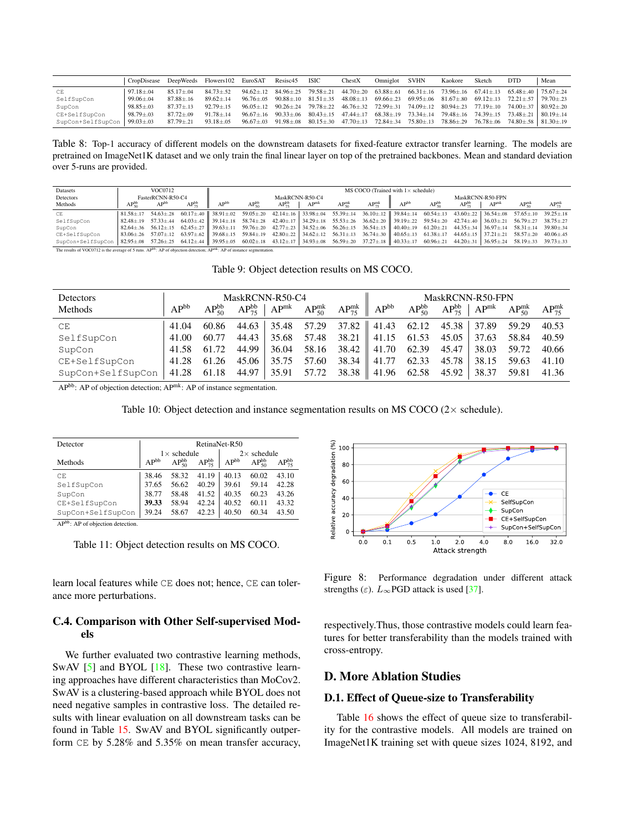<span id="page-2-1"></span>

|                   | CropDisease DeepWeeds Flowers102 EuroSAT Resisc45 ISIC |                 |                 |  | CheckX | Omniglot | SVHN                                                                                                                                        | Kaokore | Sketch | <b>DTD</b> | Mean |
|-------------------|--------------------------------------------------------|-----------------|-----------------|--|--------|----------|---------------------------------------------------------------------------------------------------------------------------------------------|---------|--------|------------|------|
| CE                | $97.18 + .04$                                          | $85.17 + .04$   | $84.73 \pm .52$ |  |        |          | $94.62\pm.12$ $84.96\pm.25$ $79.58\pm.21$ $44.70\pm.20$ $63.88\pm.61$ $66.31\pm.16$ $73.96\pm.16$ $67.41\pm.13$ $65.48\pm.40$ $75.67\pm.24$ |         |        |            |      |
| SelfSupCon        | $99.06 + .04$                                          | $87.88 + 16$    | $89.62 + 14$    |  |        |          | $96.76\pm.05$ $90.88\pm.10$ $81.51\pm.35$ $48.08\pm.13$ $69.66\pm.23$ $69.95\pm.06$ $81.67\pm.80$ $69.12\pm.13$ $72.21\pm.57$ $79.70\pm.23$ |         |        |            |      |
| SupCon            | $98.85 + .03$                                          | $87.37 + .13$   | $92.79 + 15$    |  |        |          | $96.05\pm.12$ $90.26\pm.24$ $79.78\pm.22$ $46.76\pm.32$ $72.99\pm.31$ $74.09\pm.12$ $80.94\pm.23$ $77.19\pm.10$ $74.00\pm.37$ $80.92\pm.20$ |         |        |            |      |
| CE+SelfSupCon     | $98.79 \pm .03$                                        | $87.72 + 09$    | $91.78 + 14$    |  |        |          | $96.67\pm.16$ $90.33\pm.06$ $80.43\pm.15$ $47.44\pm.17$ $68.38\pm.19$ $73.34\pm.14$ $79.48\pm.16$ $74.39\pm.15$ $73.48\pm.21$ $80.19\pm.14$ |         |        |            |      |
| SupCon+SelfSupCon | $99.03 \pm .03$                                        | $87.79 \pm .21$ | $93.18 \pm .05$ |  |        |          | $96.67\pm.03$ $91.98\pm.08$ $80.15\pm.30$ $47.70\pm.13$ $72.84\pm.34$ $75.80\pm.13$ $78.86\pm.29$ $76.78\pm.06$ $74.80\pm.58$ $81.30\pm.19$ |         |        |            |      |

Table 8: Top-1 accuracy of different models on the downstream datasets for fixed-feature extractor transfer learning. The models are pretrained on ImageNet1K dataset and we only train the final linear layer on top of the pretrained backbones. Mean and standard deviation over 5-runs are provided.

<span id="page-2-2"></span>

| Datasets                                                                                                                                                                                                                                                                                                                                                                                                  |                | VOC0712           |                |                  |                |                 |                  |                        |                              | MS COCO (Trained with $1 \times$ schedule)                                                                                                                                                                                                                                                                                                              |                |                  |                  |                                 |                              |
|-----------------------------------------------------------------------------------------------------------------------------------------------------------------------------------------------------------------------------------------------------------------------------------------------------------------------------------------------------------------------------------------------------------|----------------|-------------------|----------------|------------------|----------------|-----------------|------------------|------------------------|------------------------------|---------------------------------------------------------------------------------------------------------------------------------------------------------------------------------------------------------------------------------------------------------------------------------------------------------------------------------------------------------|----------------|------------------|------------------|---------------------------------|------------------------------|
| Detectors                                                                                                                                                                                                                                                                                                                                                                                                 |                | FasterRCNN-R50-C4 |                |                  |                | MaskRCNN-R50-C4 |                  |                        |                              |                                                                                                                                                                                                                                                                                                                                                         |                | MaskRCNN-R50-FPN |                  |                                 |                              |
| Methods                                                                                                                                                                                                                                                                                                                                                                                                   | $AP_{50}^{bb}$ | AP <sup>br</sup>  | $AP_{25}^{bb}$ | AP <sub>pt</sub> | $AP_{50}^{bb}$ | $AP_{75}^{bb}$  | AP <sup>mk</sup> | $AP_{\epsilon 0}^{mk}$ | $AP_{\tau\epsilon}^{\rm mk}$ | AP <sup>b</sup>                                                                                                                                                                                                                                                                                                                                         | $AP_{50}^{bb}$ | $AP_{zz}^{bb}$   | AP <sup>mk</sup> | $AP_{\epsilon\alpha}^{\rm mls}$ | $AP_{\tau\epsilon}^{\rm mk}$ |
| CE                                                                                                                                                                                                                                                                                                                                                                                                        |                |                   |                |                  |                |                 |                  |                        |                              | $81.58 \pm .17$ $54.63 \pm .28$ $60.17 \pm .40$ $38.91 \pm .02$ $59.05 \pm .20$ $42.14 \pm .16$ $33.98 \pm .04$ $55.39 \pm .14$ $36.10 \pm .12$ $39.84 \pm .14$ $60.54 \pm .13$ $43.60 \pm .22$ $36.54 \pm .08$ $57.65 \pm .10$ $39.25 \pm .18$                                                                                                         |                |                  |                  |                                 |                              |
| SelfSupCon                                                                                                                                                                                                                                                                                                                                                                                                |                |                   |                |                  |                |                 |                  |                        |                              | $82.48 \pm .19 \quad 57.33 \pm .44 \quad 64.03 \pm .42 \quad \  39.14 \pm .18 \quad 58.74 \pm .28 \quad 42.40 \pm .17 \quad   34.29 \pm .18 \quad 55.53 \pm .26 \quad 36.62 \pm .20 \quad \  39.19 \pm .22 \quad 59.54 \pm .20 \quad 42.74 \pm .40 \quad   36.03 \pm .21 \quad 56.79 \pm .27 \quad 38.75 \pm .27 \quad 38.75 \pm .27 \quad 38.75 \pm .$ |                |                  |                  |                                 |                              |
| SupCon                                                                                                                                                                                                                                                                                                                                                                                                    |                |                   |                |                  |                |                 |                  |                        |                              | 82.64±.36 56.12±.15 62.45±.27 39.63±.11 59.76±.20 42.77±.23 34.52±.06 56.26±.15 36.54±.15 40.40±.19 61.20±.21 44.35±.34 36.97±.14 58.31±.14 39.80±.34                                                                                                                                                                                                   |                |                  |                  |                                 |                              |
| CE+SelfSupCon                                                                                                                                                                                                                                                                                                                                                                                             |                |                   |                |                  |                |                 |                  |                        |                              | $83.06 \pm .26$ $57.07 \pm .12$ $63.97 \pm .62$ $39.68 \pm .15$ $59.84 \pm .19$ $42.80 \pm .22$ $34.62 \pm .12$ $56.31 \pm .13$ $36.74 \pm .30$ $40.65 \pm .13$ $61.38 \pm .17$ $44.65 \pm .15$ $37.21 \pm .21$ $58.57 \pm .20$ $40.06 \pm .45$                                                                                                         |                |                  |                  |                                 |                              |
| SupCon+SelfSupCon 82.95±.08 57.26±.25 64.12±.44 39.95±.05 60.02±.18 43.12±.17 34.93±.08 56.59±.20 37.27±.18 40.33±.17 60.96±.21 44.20±.31 36.95±.24 58.19±.33 39.73±.33<br>and the components of the complete state of the complete state of the complete state of the complete state of the complete state of the complete state of the complete state of the complete state of the complete state of th |                |                   |                |                  |                |                 |                  |                        |                              |                                                                                                                                                                                                                                                                                                                                                         |                |                  |                  |                                 |                              |

The results of VOC0712 is the average of 5 runs. AP<sup>bb</sup>: AP of objection detection; AP<sup>mk</sup>: AP of instance segmentation.

Table 9: Object detection results on MS COCO.

<span id="page-2-3"></span>

| Detectors         |           |                | MaskRCNN-R50-C4            |       |  |                                                                          |                                                | MaskRCNN-R50-FPN |                |                |
|-------------------|-----------|----------------|----------------------------|-------|--|--------------------------------------------------------------------------|------------------------------------------------|------------------|----------------|----------------|
| Methods           | $AP^{bb}$ | $AP_{50}^{bb}$ | $AP_{75}^{bb}$   $AP^{mk}$ |       |  | $AP_{50}^{mk}$ $AP_{75}^{mk}$ $AP_{90}^{bb}$                             | $AP_{50}^{bb}$ $AP_{75}^{bb}$   $AP_{50}^{mk}$ |                  | $AP_{50}^{mk}$ | $AP_{75}^{mk}$ |
| CE                | 41.04     | 60.86          |                            |       |  | 44.63   35.48  57.29  37.82    41.43  62.12  45.38   37.89  59.29  40.53 |                                                |                  |                |                |
| SelfSupCon        | 41.00     | 60.77          |                            |       |  | $44.43$   35.68 57.48 38.21    41.15 61.53 45.05   37.63 58.84           |                                                |                  |                | 40.59          |
| SupCon            |           | 41.58 61.72    |                            |       |  | 44.99   36.04 58.16 38.42   41.70 62.39 45.47   38.03 59.72              |                                                |                  |                | 40.66          |
| CE+SelfSupCon     |           | 41.28 61.26    | 45.06                      | 35.75 |  | 57.60 38.34    41.77 62.33 45.78   38.15 59.63 41.10                     |                                                |                  |                |                |
| SupCon+SelfSupCon |           | 41.28 61.18    |                            |       |  | 44.97 35.91 57.72 38.38 41.96 62.58 45.92 38.37 59.81                    |                                                |                  |                | 41.36          |

APbb: AP of objection detection; APmk: AP of instance segmentation.

Table 10: Object detection and instance segmentation results on MS COCO  $(2 \times$  schedule).

<span id="page-2-4"></span>

| Detector          | RetinaNet-R50 |                     |                |           |                    |                |  |  |  |  |  |
|-------------------|---------------|---------------------|----------------|-----------|--------------------|----------------|--|--|--|--|--|
|                   |               | $1 \times$ schedule |                |           | $2\times$ schedule |                |  |  |  |  |  |
| Methods           | $AP^{bb}$     | $AP_{50}^{bb}$      | $AP_{75}^{bb}$ | $AP^{bb}$ | $AP_{50}^{bb}$     | $AP_{75}^{bb}$ |  |  |  |  |  |
| CE.               | 38.46         | 58.32               | 41.19          | 40.13     | 60.02              | 43.10          |  |  |  |  |  |
| SelfSupCon        | 37.65         | 56.62               | 40.29          | 39.61     | 59.14              | 42.28          |  |  |  |  |  |
| SupCon            | 38.77         | 58.48               | 41.52          | 40.35     | 60.23              | 43.26          |  |  |  |  |  |
| CE+SelfSupCon     | 39.33         | 58.94               | 42.24          | 40.52     | 60.11              | 43.32          |  |  |  |  |  |
| SupCon+SelfSupCon | 39.24         | 58.67               | 42.23          | 40.50     | 60.34              | 43.50          |  |  |  |  |  |

APbb: AP of objection detection.

Table 11: Object detection results on MS COCO.

learn local features while CE does not; hence, CE can tolerance more perturbations.

# C.4. Comparison with Other Self-supervised Models

We further evaluated two contrastive learning methods, SwAV [\[5\]](#page-0-19) and BYOL [\[18\]](#page-0-20). These two contrastive learning approaches have different characteristics than MoCov2. SwAV is a clustering-based approach while BYOL does not need negative samples in contrastive loss. The detailed results with linear evaluation on all downstream tasks can be found in Table [15.](#page-3-3) SwAV and BYOL significantly outperform CE by 5.28% and 5.35% on mean transfer accuracy,

<span id="page-2-5"></span>

Figure 8: Performance degradation under different attack strengths ( $\varepsilon$ ).  $L_{\infty}$ PGD attack is used [\[37\]](#page-0-21).

respectively.Thus, those contrastive models could learn features for better transferability than the models trained with cross-entropy.

# D. More Ablation Studies

### <span id="page-2-0"></span>D.1. Effect of Queue-size to Transferability

Table [16](#page-4-1) shows the effect of queue size to transferability for the contrastive models. All models are trained on ImageNet1K training set with queue sizes 1024, 8192, and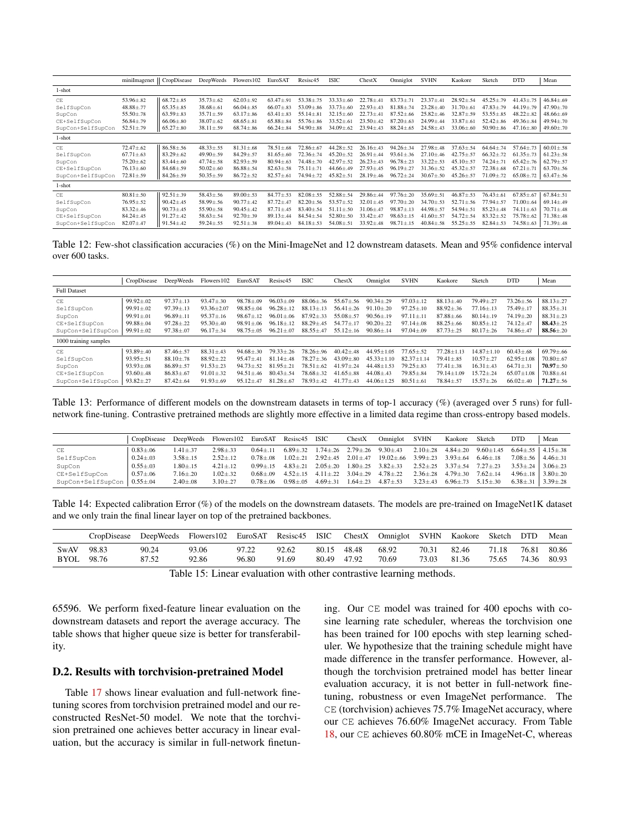<span id="page-3-0"></span>

|                   | miniImagenet   CropDisease |                 | DeepWeeds       | Flowers102      | EuroSAT         | Resisc45        | <b>ISIC</b>     | ChestX          | Omniglot        | <b>SVHN</b>     | Kaokore         | Sketch          | <b>DTD</b>      | Mean             |
|-------------------|----------------------------|-----------------|-----------------|-----------------|-----------------|-----------------|-----------------|-----------------|-----------------|-----------------|-----------------|-----------------|-----------------|------------------|
| 1-shot            |                            |                 |                 |                 |                 |                 |                 |                 |                 |                 |                 |                 |                 |                  |
| CE                | $53.96 \pm .82$            | $68.72 \pm .85$ | $35.73 \pm .62$ | $62.03 \pm .92$ | $63.47 \pm .91$ | $53.38 \pm .75$ | $33.33 \pm .60$ | $22.78 \pm .41$ | $83.73 \pm .71$ | $23.37 \pm .41$ | $28.92 \pm .54$ | $45.25 \pm .79$ | $41.43 \pm .75$ | $46.84 \pm .69$  |
| SelfSupCon        | $48.88 \pm .77$            | $65.35 \pm .85$ | $38.68 \pm .61$ | $66.04 \pm .85$ | $66.07 \pm .83$ | $53.09 \pm .86$ | $33.73 \pm .60$ | $22.93 \pm .43$ | $81.88 \pm .74$ | $23.28 \pm .40$ | $31.70 \pm .61$ | $47.83 \pm .79$ | $44.19 \pm .79$ | $47.90 \pm .70$  |
| SupCon            | $55.50 \pm .78$            | $63.59 \pm .83$ | $35.71 \pm .59$ | $63.17 \pm .86$ | $63.41 \pm .83$ | $55.14 \pm .81$ | $32.15 \pm .60$ | $22.73 \pm .41$ | $87.52 \pm .66$ | $25.82 \pm .46$ | $32.87 \pm .59$ | $53.55 \pm .85$ | $48.22 \pm .82$ | $48.66 \pm .69$  |
| CE+SelfSupCon     | $56.84 \pm .79$            | $66.06 \pm .80$ | $38.07 \pm .62$ | $68.65 \pm .81$ | $65.88 \pm .84$ | $55.76 \pm .86$ | $33.52 \pm .61$ | $23.50 \pm .42$ | $87.20 \pm .63$ | $24.99 \pm .44$ | $33.87 \pm .61$ | $52.42 \pm .86$ | $49.36 \pm .84$ | $49.94 \pm 0.70$ |
| SupCon+SelfSupCon | $52.51 \pm .79$            | $65.27 \pm .80$ | $38.11 \pm .59$ | $68.74 \pm .86$ | $66.24 \pm .84$ | $54.90 \pm .88$ | $34.09 \pm .62$ | $23.94 \pm .43$ | $88.24 \pm .65$ | $24.58 \pm .43$ | $33.06 \pm .60$ | $50.90 \pm .86$ | $47.16 \pm .80$ | $49.60 \pm .70$  |
| 1-shot            |                            |                 |                 |                 |                 |                 |                 |                 |                 |                 |                 |                 |                 |                  |
| CE.               | $72.47 \pm .62$            | $86.58 \pm .56$ | $48.33 \pm .55$ | $81.31 \pm .68$ | $78.51 \pm .68$ | $72.86 \pm .67$ | $44.28 \pm .52$ | $26.16{\pm}.43$ | $94.26 \pm .34$ | $27.98 \pm .48$ | $37.63 \pm .54$ | $64.64 \pm .74$ | $57.64 \pm .73$ | $60.01 \pm .58$  |
| SelfSupCon        | $67.71 \pm .63$            | $83.29 \pm .62$ | $49.90 \pm .59$ | $84.29 \pm .57$ | $81.65 \pm .60$ | $72.36 \pm .74$ | $45.20 \pm .52$ | $26.91 \pm .44$ | $93.61 \pm .36$ | $27.10 + 46$    | $42.75 \pm .57$ | $66.32 \pm .72$ | $61.35 \pm .73$ | $61.23 \pm .58$  |
| SupCon            | $75.20 \pm .62$            | $83.44 \pm .60$ | $47.74 \pm .58$ | $82.93 \pm .59$ | $80.94 \pm .63$ | $74.48 \pm .70$ | $42.97 \pm .52$ | $26.23 \pm .43$ | $96.78 \pm .23$ | $33.22 \pm .53$ | $45.10 \pm .57$ | $74.24 \pm .71$ | $65.42 \pm .76$ | $62.79 \pm .57$  |
| CE+SelfSupCon     | $76.13 \pm .60$            | $84.68 \pm .59$ | $50.02 \pm .60$ | $86.88{\pm}.54$ | $82.63 \pm .58$ | $75.11 \pm .71$ | $44.66 \pm .49$ | $27.93 \pm .45$ | $96.19 \pm .27$ | $31.36 \pm .52$ | $45.32 \pm .57$ | $72.38 + .68$   | $67.21 \pm .71$ | $63.70 \pm .56$  |
| SupCon+SelfSupCon | $72.81 \pm .59$            | $84.26 \pm .59$ | $50.35 \pm .59$ | $86.72 \pm .52$ | $82.57 \pm .61$ | $74.94 \pm .72$ | $45.82 \pm .51$ | $28.19 \pm .46$ | $96.72 \pm .24$ | $30.67 \pm .50$ | $45.26 \pm .57$ | $71.09 \pm .72$ | $65.08 \pm .72$ | $63.47 \pm .56$  |
| 1-shot            |                            |                 |                 |                 |                 |                 |                 |                 |                 |                 |                 |                 |                 |                  |
| CE.               | $80.81 \pm .50$            | $92.51 \pm .39$ | $58.43 \pm .56$ | $89.00 \pm .53$ | $84.77 \pm .53$ | $82.08 + .55$   | $52.88 \pm .54$ | $29.86{\pm}.44$ | $97.76 \pm .20$ | $35.69 \pm .51$ | $46.87 \pm .53$ | $76.43 \pm .61$ | $67.85 \pm .67$ | $67.84 \pm .51$  |
| SelfSupCon        | $76.95 \pm .52$            | $90.42 \pm .45$ | $58.99 \pm .56$ | $90.77 \pm .42$ | $87.72 \pm .47$ | $82.20 \pm .56$ | $53.57 \pm .52$ | $32.01 \pm .45$ | $97.70 \pm .20$ | $34.70 \pm .53$ | $52.71 \pm .56$ | $77.94 \pm .57$ | $71.00 \pm .64$ | $69.14 \pm .49$  |
| SupCon            | $83.32 \pm .46$            | $90.73 \pm .45$ | $55.90 \pm .58$ | $90.45 \pm .42$ | $87.71 \pm .45$ | $83.40 \pm .54$ | $51.11 \pm .50$ | $31.06 \pm .47$ | $98.87 \pm .13$ | $44.98 \pm .57$ | $54.94 \pm .51$ | $85.23 \pm .48$ | $74.11 \pm .63$ | $70.71 \pm .48$  |
| CE+SelfSupCon     | $84.24 \pm .45$            | $91.27 \pm .42$ | $58.63 \pm .54$ | $92.70 \pm .39$ | $89.13 \pm .44$ | $84.54 \pm .54$ | $52.80 \pm .50$ | $33.42 \pm .47$ | $98.63 \pm .15$ | $41.60 \pm .57$ | $54.72 \pm .54$ | $83.32 \pm .52$ | $75.78 \pm .62$ | $71.38 \pm .48$  |
| SupCon+SelfSupCon | $82.07 \pm .47$            | $91.54 \pm .42$ | $59.24 \pm .55$ | $92.51 \pm .38$ | $89.04 \pm .43$ | $84.18 \pm .53$ | $54.08 \pm .51$ | $33.92 \pm .48$ | $98.71 \pm .15$ | $40.84 \pm .58$ | $55.25 \pm .55$ | $82.84 \pm .53$ | $74.58 \pm .63$ | $71.39 \pm .48$  |

Table 12: Few-shot classification accuracies (%) on the Mini-ImageNet and 12 downstream datasets. Mean and 95% confidence interval over 600 tasks.

<span id="page-3-1"></span>

|                       | CropDisease     | <b>DeepWeeds</b> | Flowers 102     | EuroSAT         | Resisc45        | <b>ISIC</b>     | ChestX          | Omniglot         | <b>SVHN</b>     | Kaokore          | Sketch           | <b>DTD</b>       | Mean            |
|-----------------------|-----------------|------------------|-----------------|-----------------|-----------------|-----------------|-----------------|------------------|-----------------|------------------|------------------|------------------|-----------------|
| <b>Full Dataset</b>   |                 |                  |                 |                 |                 |                 |                 |                  |                 |                  |                  |                  |                 |
| CE                    | $99.92 \pm .02$ | $97.37 \pm .13$  | $93.47 \pm .30$ | $98.78 + 09$    | $96.03 + 09$    | $88.06 \pm .36$ | $55.67 + 56$    | $90.34 \pm .29$  | $97.03 \pm .12$ | $88.13 + 40$     | $79.49 + 27$     | $73.26 \pm .56$  | $88.13 \pm .27$ |
| SelfSupCon            | $99.91 + 02$    | $97.39 + 13$     | $93.36 + 2.07$  | $98.85 + .04$   | $96.28 + 12$    | $88.13 + 13$    | $56.41 + 26$    | $91.10 + 20$     | $97.25 \pm .10$ | $88.92 + 36$     | $77.16 + 13$     | $75.49 + 17$     | $88.35 + 31$    |
| SupCon                | $99.91 \pm .01$ | $96.89{\pm}.11$  | $95.37 \pm .16$ | $98.67 + 12$    | $96.01 + .06$   | $87.92 \pm .33$ | $55.08 + 57$    | $90.56 \pm .19$  | $97.11 + .11$   | $87.88 \pm .66$  | $80.14 + 19$     | $74.19 \pm .20$  | $88.31 \pm .23$ |
| CE+SelfSupCon         | $99.88 \pm .04$ | $97.28 \pm .22$  | $95.30 \pm .40$ | $98.91 + .06$   | $96.18 + 12$    | $88.29 + .45$   | $54.77 + 17$    | $90.20 + 22$     | $97.14 \pm .08$ | $88.25 \pm .66$  | $80.85 \pm .12$  | $74.12{\pm}.47$  | $88.43 \pm .25$ |
| SupCon+SelfSupCon     | $99.91 \pm .02$ | $97.38 \pm .07$  | $96.17 \pm .34$ | $98.75 \pm .05$ | $96.21 \pm .07$ | $88.55 \pm .47$ | $55.12 \pm .16$ | $90.86{\pm}.14$  | $97.04 \pm .09$ | $87.73 \pm .25$  | $80.17 \pm .26$  | $74.86{\pm}.47$  | $88.56 \pm .20$ |
| 1000 training samples |                 |                  |                 |                 |                 |                 |                 |                  |                 |                  |                  |                  |                 |
| CE                    | $93.89{\pm}.40$ | $87.46 \pm .57$  | $88.31 \pm .43$ | $94.68 + 30$    | $79.33 \pm .26$ | $78.26 + 96$    | $40.42 \pm .48$ | $44.95 + 1.05$   | $77.65 \pm .52$ | $77.28 + 1.13$   | $14.87 \pm 1.10$ | $60.43 \pm .68$  | $69.79 \pm .66$ |
| SelfSupCon            | $93.95 \pm .51$ | $88.10 + .78$    | $88.92 + 22$    | $95.47 + .41$   | $81.14 + .48$   | $78.27 \pm .36$ | $43.09 \pm .80$ | $45.33 \pm 1.10$ | $82.37 + 1.14$  | $79.41 \pm .85$  | $10.57 + 27$     | $62.95 \pm 1.08$ | $70.80 + 67$    |
| SupCon                | $93.93 \pm .08$ | $86.89 \pm .57$  | $91.53 \pm .23$ | $94.73 + 52$    | $81.95 \pm .21$ | $78.51 + 62$    | $41.97 + .24$   | $44.48 \pm 1.53$ | $79.25 \pm .83$ | $77.41 \pm .38$  | $16.31 \pm .43$  | $64.71 \pm .31$  | $70.97 + 0.50$  |
| CE+SelfSupCon         | $93.60 \pm .48$ | $86.83 \pm .67$  | $91.01 \pm .32$ | $94.51 \pm .46$ | $80.43 \pm .54$ | $78.68 + 32$    | $41.65 + .88$   | $44.08 + .43$    | $79.85 \pm .84$ | $79.14 \pm 1.09$ | $15.72 \pm .24$  | $65.07 \pm 1.08$ | $70.88 \pm .61$ |
| SupCon+SelfSupCon     | $93.82 \pm .27$ | $87.42 \pm .64$  | $91.93 \pm .69$ | $95.12 \pm .47$ | $81.28 \pm .67$ | $78.93 \pm .42$ | $41.77 \pm .43$ | $44.06 \pm 1.25$ | $80.51 \pm .61$ | $78.84 \pm .57$  | $15.57 + .26$    | $66.02{\pm}.40$  | $71.27 + .56$   |

Table 13: Performance of different models on the downstream datasets in terms of top-1 accuracy (%) (averaged over 5 runs) for fullnetwork fine-tuning. Contrastive pretrained methods are slightly more effective in a limited data regime than cross-entropy based models.

<span id="page-3-2"></span>

|                   | CropDisease     | DeepWeeds      | Flowers102     |               | EuroSAT Resisc45 ISIC |                         | ChestX                        | Omniglot                      | <b>SVHN</b>                   | Kaokore                       | Sketch                         | DTD            | Mean                            |
|-------------------|-----------------|----------------|----------------|---------------|-----------------------|-------------------------|-------------------------------|-------------------------------|-------------------------------|-------------------------------|--------------------------------|----------------|---------------------------------|
| CE.               | $0.83 \pm .06$  | $1.41 + .37$   | $2.98 + 33$    | $0.64 + 11$   | $6.89 + .32$          |                         | $1.74 \pm .26$ $2.79 \pm .26$ | $9.30 \pm .43$                | $2.10{\pm}.28$                |                               | $4.84 \pm .20$ $9.60 \pm 1.45$ |                | $6.64 \pm .55$   $4.15 \pm .38$ |
| SelfSupCon        | $0.24 \pm .03$  | $3.58 \pm .15$ | $2.52 + 12$    | $0.78 + 0.08$ | $1.02 + .21$          | $2.92 + 45$ $2.01 + 47$ |                               | $19.02 + .66$                 | $3.99 \pm .23$ $3.93 \pm .64$ |                               | $6.46 + .18$                   | $7.08 \pm .56$ | $4.46 + 31$                     |
| SupCon            | $0.55 \pm .03$  | $1.80 + .15$   | $4.21 + .12$   | $0.99 + 15$   | $4.83 + .21$          | $2.05 + 20$             |                               | $1.80 \pm .25$ $3.82 \pm .33$ |                               | $2.52 \pm .25$ $3.37 \pm .54$ | $7.27 + .23$                   | $3.53 + 24$    | $3.06 + .23$                    |
| CE+SelfSupCon     | $0.57 \pm 0.06$ | $7.16 + 20$    | $1.02 \pm .32$ | $0.68 + 0.09$ | $452+15$              | $4.11 + 22$ $3.04 + 29$ |                               | $4.78 + .22$                  | $2.36 + .28$                  | $4.79 + 30$                   | $7.62 + 14$                    | $4.96 + .18$   | $3.80 + 20$                     |
| SupCon+SelfSupCon | $0.55 \pm 0.04$ | $2.40 \pm .08$ | $3.10{\pm}.27$ | $0.78 + 06$   | $0.98 + 0.05$         | $4.69 \pm .31$          | $1.64 \pm .23$                | $4.87 \pm .53$                | $3.23 \pm .43$                |                               | $6.96 \pm .73$ $5.15 \pm .30$  | $6.38{\pm}.31$ | $3.39 \pm .28$                  |

Table 14: Expected calibration Error (%) of the models on the downstream datasets. The models are pre-trained on ImageNet1K dataset and we only train the final linear layer on top of the pretrained backbones.

<span id="page-3-3"></span>

|      | CropDisease |       | DeepWeeds Flowers102 EuroSAT Resisc45 ISIC |       |       |       | CheckX | Omniglot SVHN Kaokore |       |       | Sketch DTD |       | Mean  |
|------|-------------|-------|--------------------------------------------|-------|-------|-------|--------|-----------------------|-------|-------|------------|-------|-------|
| SwAV | 98.83       | 90.24 | 93.06                                      | 97.22 | 92.62 | 80.15 | 48.48  | 68.92                 | 70.31 | 82.46 | 71.18      | 76.81 | 80.86 |
| BYOL | 98.76       | 87.52 | 92.86                                      | 96.80 | 91.69 | 80.49 | 47.92  | 70.69                 | 73.03 | 81.36 | 75.65      | 74.36 | 80.93 |

Table 15: Linear evaluation with other contrastive learning methods.

65596. We perform fixed-feature linear evaluation on the downstream datasets and report the average accuracy. The table shows that higher queue size is better for transferability.

## D.2. Results with torchvision-pretrained Model

Table [17](#page-5-0) shows linear evaluation and full-network finetuning scores from torchvision pretrained model and our reconstructed ResNet-50 model. We note that the torchvision pretrained one achieves better accuracy in linear evaluation, but the accuracy is similar in full-network finetuning. Our CE model was trained for 400 epochs with cosine learning rate scheduler, whereas the torchvision one has been trained for 100 epochs with step learning scheduler. We hypothesize that the training schedule might have made difference in the transfer performance. However, although the torchvision pretrained model has better linear evaluation accuracy, it is not better in full-network finetuning, robustness or even ImageNet performance. The CE (torchvision) achieves 75.7% ImageNet accuracy, where our CE achieves 76.60% ImageNet accuracy. From Table [18,](#page-5-1) our CE achieves 60.80% mCE in ImageNet-C, whereas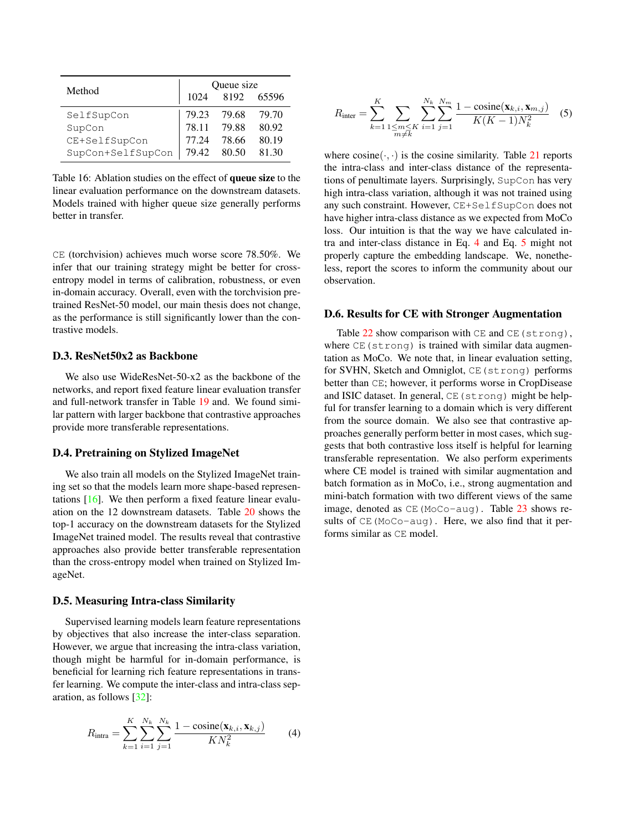<span id="page-4-1"></span>

| Method            |       | Queue size |       |
|-------------------|-------|------------|-------|
|                   | 1024  | 8192       | 65596 |
| SelfSupCon        | 79.23 | 79.68      | 79.70 |
| SupCon            | 78.11 | 79.88      | 80.92 |
| CE+SelfSupCon     | 77.24 | 78.66      | 80.19 |
| SupCon+SelfSupCon | 79.42 | 80.50      | 81.30 |

Table 16: Ablation studies on the effect of queue size to the linear evaluation performance on the downstream datasets. Models trained with higher queue size generally performs better in transfer.

CE (torchvision) achieves much worse score 78.50%. We infer that our training strategy might be better for crossentropy model in terms of calibration, robustness, or even in-domain accuracy. Overall, even with the torchvision pretrained ResNet-50 model, our main thesis does not change, as the performance is still significantly lower than the contrastive models.

# D.3. ResNet50x2 as Backbone

We also use WideResNet-50-x2 as the backbone of the networks, and report fixed feature linear evaluation transfer and full-network transfer in Table [19](#page-6-0) and. We found similar pattern with larger backbone that contrastive approaches provide more transferable representations.

### D.4. Pretraining on Stylized ImageNet

We also train all models on the Stylized ImageNet training set so that the models learn more shape-based representations [\[16\]](#page-0-22). We then perform a fixed feature linear evaluation on the 12 downstream datasets. Table [20](#page-6-1) shows the top-1 accuracy on the downstream datasets for the Stylized ImageNet trained model. The results reveal that contrastive approaches also provide better transferable representation than the cross-entropy model when trained on Stylized ImageNet.

#### D.5. Measuring Intra-class Similarity

Supervised learning models learn feature representations by objectives that also increase the inter-class separation. However, we argue that increasing the intra-class variation, though might be harmful for in-domain performance, is beneficial for learning rich feature representations in transfer learning. We compute the inter-class and intra-class separation, as follows [\[32\]](#page-0-23):

<span id="page-4-2"></span>
$$
R_{\text{intra}} = \sum_{k=1}^{K} \sum_{i=1}^{N_k} \sum_{j=1}^{N_k} \frac{1 - \text{cosine}(\mathbf{x}_{k,i}, \mathbf{x}_{k,j})}{KN_k^2}
$$
(4)

<span id="page-4-3"></span>
$$
R_{\text{inter}} = \sum_{k=1}^{K} \sum_{\substack{1 \le m \le K \\ m \ne k}} \sum_{i=1}^{N_k} \sum_{j=1}^{N_m} \frac{1 - \text{cosine}(\mathbf{x}_{k,i}, \mathbf{x}_{m,j})}{K(K-1)N_k^2}
$$
 (5)

where  $cosine(\cdot, \cdot)$  is the cosine similarity. Table [21](#page-6-2) reports the intra-class and inter-class distance of the representations of penultimate layers. Surprisingly, SupCon has very high intra-class variation, although it was not trained using any such constraint. However, CE+SelfSupCon does not have higher intra-class distance as we expected from MoCo loss. Our intuition is that the way we have calculated intra and inter-class distance in Eq. [4](#page-4-2) and Eq. [5](#page-4-3) might not properly capture the embedding landscape. We, nonetheless, report the scores to inform the community about our observation.

#### <span id="page-4-0"></span>D.6. Results for CE with Stronger Augmentation

Table  $22$  show comparison with CE and CE (strong), where CE (strong) is trained with similar data augmentation as MoCo. We note that, in linear evaluation setting, for SVHN, Sketch and Omniglot, CE(strong) performs better than CE; however, it performs worse in CropDisease and ISIC dataset. In general, CE(strong) might be helpful for transfer learning to a domain which is very different from the source domain. We also see that contrastive approaches generally perform better in most cases, which suggests that both contrastive loss itself is helpful for learning transferable representation. We also perform experiments where CE model is trained with similar augmentation and batch formation as in MoCo, i.e., strong augmentation and mini-batch formation with two different views of the same image, denoted as  $CE(MoCo-auq)$ . Table [23](#page-7-1) shows results of CE(MoCo-aug). Here, we also find that it performs similar as CE model.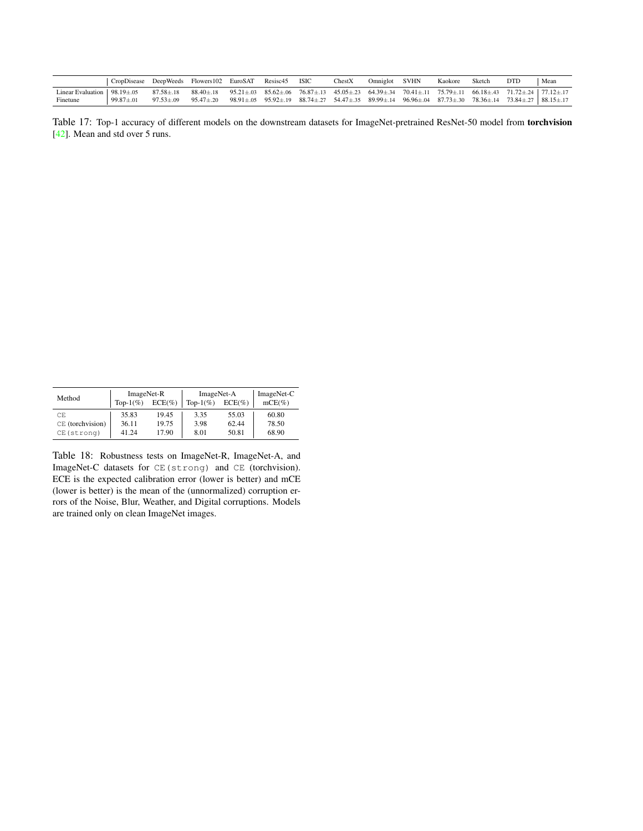<span id="page-5-0"></span>

|                                     | CropDisease DeepWeeds Flowers102 EuroSAT Resisc45 |                 |                                                                                                                                                           |  | <b>ISIC</b> | ChestX | Omniglot SVHN | Kaokore | Sketch                                                                                                                                                          | <b>DTD</b> | Mean |
|-------------------------------------|---------------------------------------------------|-----------------|-----------------------------------------------------------------------------------------------------------------------------------------------------------|--|-------------|--------|---------------|---------|-----------------------------------------------------------------------------------------------------------------------------------------------------------------|------------|------|
| Linear Evaluation   $98.19 \pm .05$ |                                                   | $87.58 \pm .18$ | $88.40\pm.18$ $95.21\pm.03$ $85.62\pm.06$ $76.87\pm.13$ $45.05\pm.23$ $64.39\pm.34$ $70.41\pm.11$ $75.79\pm.11$ $66.18\pm.43$ $71.72\pm.24$ $77.12\pm.17$ |  |             |        |               |         |                                                                                                                                                                 |            |      |
| Finetune                            | $99.87 \pm .01$                                   | $97.53 \pm .09$ | $95.47 \pm .20$                                                                                                                                           |  |             |        |               |         | $98.91 \pm .05$ $95.92 \pm .19$ $88.74 \pm .27$ $54.47 \pm .35$ $89.99 \pm .14$ $96.96 \pm .04$ $87.73 \pm .30$ $78.36 \pm .14$ $73.84 \pm .27$ $88.15 \pm .17$ |            |      |

Table 17: Top-1 accuracy of different models on the downstream datasets for ImageNet-pretrained ResNet-50 model from torchvision [\[42\]](#page-0-24). Mean and std over 5 runs.

<span id="page-5-1"></span>

| Method           | ImageNet-R<br>Top- $1\%$ ) | $ECE(\%)$ | ImageNet-A<br>Top- $1\%$ ) | $ECE(\%)$ | ImageNet-C<br>$mCE(\%)$ |
|------------------|----------------------------|-----------|----------------------------|-----------|-------------------------|
| CE.              | 35.83                      | 19.45     | 3.35                       | 55.03     | 60.80                   |
| CE (torchvision) | 36.11                      | 19.75     | 3.98                       | 62.44     | 78.50                   |
| CE(strong)       | 41 24                      | 17.90     | 8.01                       | 50.81     | 68.90                   |

Table 18: Robustness tests on ImageNet-R, ImageNet-A, and ImageNet-C datasets for CE(strong) and CE (torchvision). ECE is the expected calibration error (lower is better) and mCE (lower is better) is the mean of the (unnormalized) corruption errors of the Noise, Blur, Weather, and Digital corruptions. Models are trained only on clean ImageNet images.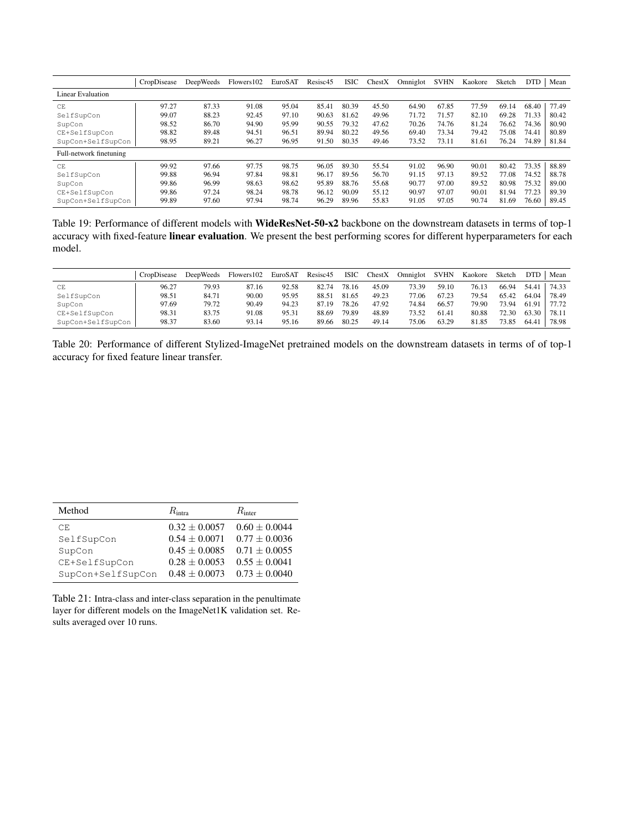<span id="page-6-0"></span>

|                         | CropDisease | DeepWeeds | Flowers 102 | EuroSAT | Resisc45 | <b>ISIC</b> | CheckX | Omniglot | <b>SVHN</b> | Kaokore | Sketch | <b>DTD</b> | Mean  |
|-------------------------|-------------|-----------|-------------|---------|----------|-------------|--------|----------|-------------|---------|--------|------------|-------|
| Linear Evaluation       |             |           |             |         |          |             |        |          |             |         |        |            |       |
| CE                      | 97.27       | 87.33     | 91.08       | 95.04   | 85.41    | 80.39       | 45.50  | 64.90    | 67.85       | 77.59   | 69.14  | 68.40      | 77.49 |
| SelfSupCon              | 99.07       | 88.23     | 92.45       | 97.10   | 90.63    | 81.62       | 49.96  | 71.72    | 71.57       | 82.10   | 69.28  | 71.33      | 80.42 |
| SupCon                  | 98.52       | 86.70     | 94.90       | 95.99   | 90.55    | 79.32       | 47.62  | 70.26    | 74.76       | 81.24   | 76.62  | 74.36      | 80.90 |
| CE+SelfSupCon           | 98.82       | 89.48     | 94.51       | 96.51   | 89.94    | 80.22       | 49.56  | 69.40    | 73.34       | 79.42   | 75.08  | 74.41      | 80.89 |
| SupCon+SelfSupCon       | 98.95       | 89.21     | 96.27       | 96.95   | 91.50    | 80.35       | 49.46  | 73.52    | 73.11       | 81.61   | 76.24  | 74.89      | 81.84 |
| Full-network finetuning |             |           |             |         |          |             |        |          |             |         |        |            |       |
| CE                      | 99.92       | 97.66     | 97.75       | 98.75   | 96.05    | 89.30       | 55.54  | 91.02    | 96.90       | 90.01   | 80.42  | 73.35      | 88.89 |
| SelfSupCon              | 99.88       | 96.94     | 97.84       | 98.81   | 96.17    | 89.56       | 56.70  | 91.15    | 97.13       | 89.52   | 77.08  | 74.52      | 88.78 |
| SupCon                  | 99.86       | 96.99     | 98.63       | 98.62   | 95.89    | 88.76       | 55.68  | 90.77    | 97.00       | 89.52   | 80.98  | 75.32      | 89.00 |
| CE+SelfSupCon           | 99.86       | 97.24     | 98.24       | 98.78   | 96.12    | 90.09       | 55.12  | 90.97    | 97.07       | 90.01   | 81.94  | 77.23      | 89.39 |
| SupCon+SelfSupCon       | 99.89       | 97.60     | 97.94       | 98.74   | 96.29    | 89.96       | 55.83  | 91.05    | 97.05       | 90.74   | 81.69  | 76.60      | 89.45 |

Table 19: Performance of different models with WideResNet-50-x2 backbone on the downstream datasets in terms of top-1 accuracy with fixed-feature linear evaluation. We present the best performing scores for different hyperparameters for each model.

<span id="page-6-1"></span>

|                   | CropDisease | <b>DeepWeeds</b> | Flowers 102 | EuroSAT | Resisc45 | ISIC  | ChestX | Omniglot | <b>SVHN</b> | Kaokore | Sketch | DTD   | Mean   |
|-------------------|-------------|------------------|-------------|---------|----------|-------|--------|----------|-------------|---------|--------|-------|--------|
| CE                | 96.27       | 79.93            | 87.16       | 92.58   | 82.74    | 78.16 | 45.09  | 73.39    | 59.10       | 76.13   | 66.94  | 54.41 | 74.33  |
| SelfSupCon        | 98.51       | 84.71            | 90.00       | 95.95   | 88.51    | 81.65 | 49.23  | 77.06    | 67.23       | 79.54   | 65.42  | 64.04 | 78.49  |
| SupCon            | 97.69       | 79.72            | 90.49       | 94.23   | 87.19    | 78.26 | 47.92  | 74.84    | 66.57       | 79.90   | 73.94  | 61.91 | 177.72 |
| CE+SelfSupCon     | 98.31       | 83.75            | 91.08       | 95.31   | 88.69    | 79.89 | 48.89  | 73.52    | 61.41       | 80.88   | 72.30  | 63.30 | 78.11  |
| SupCon+SelfSupCon | 98.37       | 83.60            | 93.14       | 95.16   | 89.66    | 80.25 | 49.14  | 75.06    | 63.29       | 81.85   | 73.85  | 64.41 | 78.98  |

Table 20: Performance of different Stylized-ImageNet pretrained models on the downstream datasets in terms of of top-1 accuracy for fixed feature linear transfer.

<span id="page-6-2"></span>

| Method            | $R_{\rm intra}$   | $R_{\text{inter}}$ |
|-------------------|-------------------|--------------------|
| CE.               | $0.32 \pm 0.0057$ | $0.60 \pm 0.0044$  |
| SelfSupCon        | $0.54 + 0.0071$   | $0.77 + 0.0036$    |
| SupCon            | $0.45 + 0.0085$   | $0.71 + 0.0055$    |
| CE+SelfSupCon     | $0.28 + 0.0053$   | $0.55 + 0.0041$    |
| SupCon+SelfSupCon | $0.48 \pm 0.0073$ | $0.73 \pm 0.0040$  |

Table 21: Intra-class and inter-class separation in the penultimate layer for different models on the ImageNet1K validation set. Results averaged over 10 runs.